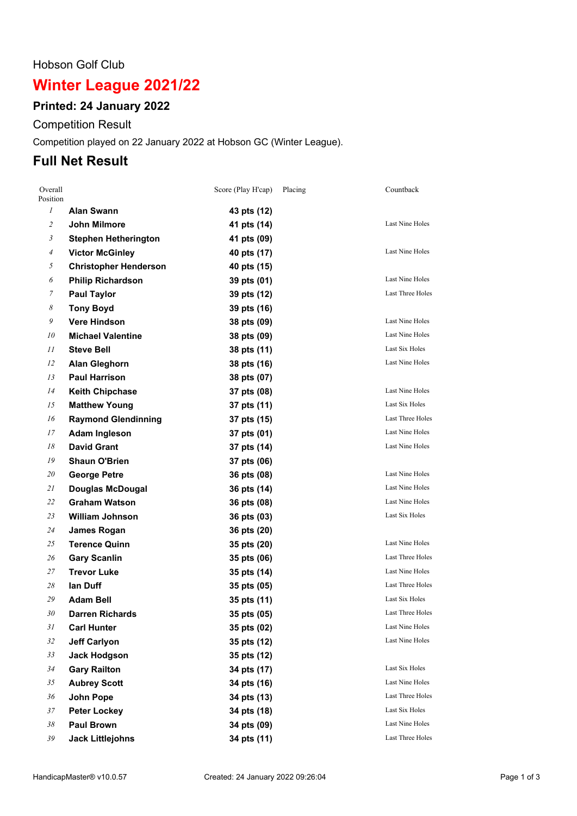#### Hobson Golf Club

# **Winter League 2021/22**

### **Printed: 24 January 2022**

Competition Result

Competition played on 22 January 2022 at Hobson GC (Winter League).

## **Full Net Result**

| Overall<br>Position |                              | Score (Play H'cap) | Placing | Countback               |
|---------------------|------------------------------|--------------------|---------|-------------------------|
| $\mathcal{I}$       | Alan Swann                   | 43 pts (12)        |         |                         |
| $\overline{c}$      | John Milmore                 | 41 pts (14)        |         | <b>Last Nine Holes</b>  |
| 3                   | <b>Stephen Hetherington</b>  | 41 pts (09)        |         |                         |
| 4                   | <b>Victor McGinley</b>       | 40 pts (17)        |         | <b>Last Nine Holes</b>  |
| 5                   | <b>Christopher Henderson</b> | 40 pts (15)        |         |                         |
| 6                   | <b>Philip Richardson</b>     | 39 pts (01)        |         | <b>Last Nine Holes</b>  |
| 7                   | <b>Paul Taylor</b>           | 39 pts (12)        |         | Last Three Holes        |
| 8                   | <b>Tony Boyd</b>             | 39 pts (16)        |         |                         |
| 9                   | <b>Vere Hindson</b>          | 38 pts (09)        |         | Last Nine Holes         |
| 10                  | <b>Michael Valentine</b>     | 38 pts (09)        |         | Last Nine Holes         |
| 11                  | <b>Steve Bell</b>            | 38 pts (11)        |         | Last Six Holes          |
| 12                  | <b>Alan Gleghorn</b>         | 38 pts (16)        |         | Last Nine Holes         |
| 13                  | <b>Paul Harrison</b>         | 38 pts (07)        |         |                         |
| 14                  | <b>Keith Chipchase</b>       | 37 pts (08)        |         | Last Nine Holes         |
| 15                  | <b>Matthew Young</b>         | 37 pts (11)        |         | Last Six Holes          |
| 16                  | <b>Raymond Glendinning</b>   | 37 pts (15)        |         | Last Three Holes        |
| 17                  | <b>Adam Ingleson</b>         | 37 pts (01)        |         | Last Nine Holes         |
| 18                  | <b>David Grant</b>           | 37 pts (14)        |         | Last Nine Holes         |
| 19                  | <b>Shaun O'Brien</b>         | 37 pts (06)        |         |                         |
| 20                  | <b>George Petre</b>          | 36 pts (08)        |         | Last Nine Holes         |
| 21                  | <b>Douglas McDougal</b>      | 36 pts (14)        |         | Last Nine Holes         |
| 22                  | <b>Graham Watson</b>         | 36 pts (08)        |         | Last Nine Holes         |
| 23                  | <b>William Johnson</b>       | 36 pts (03)        |         | Last Six Holes          |
| 24                  | <b>James Rogan</b>           | 36 pts (20)        |         |                         |
| 25                  | <b>Terence Quinn</b>         | 35 pts (20)        |         | <b>Last Nine Holes</b>  |
| 26                  | <b>Gary Scanlin</b>          | 35 pts (06)        |         | Last Three Holes        |
| 27                  | <b>Trevor Luke</b>           | 35 pts (14)        |         | <b>Last Nine Holes</b>  |
| 28                  | lan Duff                     | 35 pts (05)        |         | Last Three Holes        |
| 29                  | <b>Adam Bell</b>             | 35 pts (11)        |         | <b>Last Six Holes</b>   |
| 30                  | <b>Darren Richards</b>       | 35 pts (05)        |         | <b>Last Three Holes</b> |
| 31                  | <b>Carl Hunter</b>           | 35 pts (02)        |         | Last Nine Holes         |
| 32                  | <b>Jeff Carlyon</b>          | 35 pts (12)        |         | <b>Last Nine Holes</b>  |
| 33                  | <b>Jack Hodgson</b>          | 35 pts (12)        |         |                         |
| 34                  | <b>Gary Railton</b>          | 34 pts (17)        |         | Last Six Holes          |
| 35                  | <b>Aubrey Scott</b>          | 34 pts (16)        |         | Last Nine Holes         |
| 36                  | John Pope                    | 34 pts (13)        |         | Last Three Holes        |
| 37                  | <b>Peter Lockey</b>          | 34 pts (18)        |         | Last Six Holes          |
| 38                  | <b>Paul Brown</b>            | 34 pts (09)        |         | Last Nine Holes         |
| 39                  | <b>Jack Littlejohns</b>      | 34 pts (11)        |         | Last Three Holes        |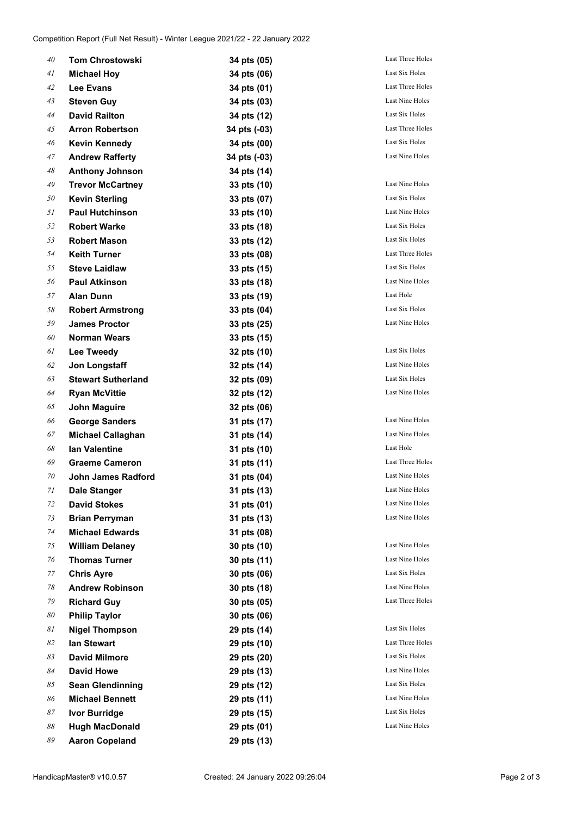| 40 | <b>Tom Chrostowski</b>    | 34 pts (05)  | Last Three Holes       |
|----|---------------------------|--------------|------------------------|
| 41 | <b>Michael Hoy</b>        | 34 pts (06)  | Last Six Holes         |
| 42 | Lee Evans                 | 34 pts (01)  | Last Three Holes       |
| 43 | <b>Steven Guy</b>         | 34 pts (03)  | Last Nine Holes        |
| 44 | <b>David Railton</b>      | 34 pts (12)  | Last Six Holes         |
| 45 | <b>Arron Robertson</b>    | 34 pts (-03) | Last Three Holes       |
| 46 | <b>Kevin Kennedy</b>      | 34 pts (00)  | Last Six Holes         |
| 47 | <b>Andrew Rafferty</b>    | 34 pts (-03) | Last Nine Holes        |
| 48 | <b>Anthony Johnson</b>    | 34 pts (14)  |                        |
| 49 | <b>Trevor McCartney</b>   | 33 pts (10)  | <b>Last Nine Holes</b> |
| 50 | <b>Kevin Sterling</b>     | 33 pts (07)  | Last Six Holes         |
| 51 | <b>Paul Hutchinson</b>    | 33 pts (10)  | Last Nine Holes        |
| 52 | <b>Robert Warke</b>       | 33 pts (18)  | Last Six Holes         |
| 53 | <b>Robert Mason</b>       | 33 pts (12)  | Last Six Holes         |
| 54 | <b>Keith Turner</b>       | 33 pts (08)  | Last Three Holes       |
| 55 | <b>Steve Laidlaw</b>      | 33 pts (15)  | Last Six Holes         |
| 56 | <b>Paul Atkinson</b>      | 33 pts (18)  | Last Nine Holes        |
| 57 | <b>Alan Dunn</b>          | 33 pts (19)  | Last Hole              |
| 58 | <b>Robert Armstrong</b>   | 33 pts (04)  | Last Six Holes         |
| 59 | <b>James Proctor</b>      | 33 pts (25)  | Last Nine Holes        |
| 60 | <b>Norman Wears</b>       | 33 pts (15)  |                        |
| 61 | <b>Lee Tweedy</b>         | 32 pts (10)  | Last Six Holes         |
| 62 | Jon Longstaff             | 32 pts (14)  | Last Nine Holes        |
| 63 | <b>Stewart Sutherland</b> | 32 pts (09)  | Last Six Holes         |
| 64 | <b>Ryan McVittie</b>      | 32 pts (12)  | Last Nine Holes        |
| 65 | <b>John Maguire</b>       | 32 pts (06)  |                        |
| 66 | <b>George Sanders</b>     | 31 pts (17)  | Last Nine Holes        |
| 67 | <b>Michael Callaghan</b>  | 31 pts (14)  | <b>Last Nine Holes</b> |
| 68 | lan Valentine             | 31 pts (10)  | Last Hole              |
| 69 | <b>Graeme Cameron</b>     | 31 pts (11)  | Last Three Holes       |
| 70 | John James Radford        | 31 pts (04)  | <b>Last Nine Holes</b> |
| 71 | <b>Dale Stanger</b>       | 31 pts (13)  | Last Nine Holes        |
| 72 | <b>David Stokes</b>       | 31 pts (01)  | Last Nine Holes        |
| 73 | <b>Brian Perryman</b>     | 31 pts (13)  | <b>Last Nine Holes</b> |
| 74 | <b>Michael Edwards</b>    | 31 pts (08)  |                        |
| 75 | <b>William Delaney</b>    | 30 pts (10)  | Last Nine Holes        |
| 76 | <b>Thomas Turner</b>      | 30 pts (11)  | <b>Last Nine Holes</b> |
| 77 | <b>Chris Ayre</b>         | 30 pts (06)  | Last Six Holes         |
| 78 | <b>Andrew Robinson</b>    | 30 pts (18)  | <b>Last Nine Holes</b> |
| 79 | <b>Richard Guy</b>        | 30 pts (05)  | Last Three Holes       |
| 80 | <b>Philip Taylor</b>      | 30 pts (06)  |                        |
| 81 | <b>Nigel Thompson</b>     | 29 pts (14)  | Last Six Holes         |
| 82 | lan Stewart               | 29 pts (10)  | Last Three Holes       |
| 83 | <b>David Milmore</b>      | 29 pts (20)  | Last Six Holes         |
| 84 | <b>David Howe</b>         | 29 pts (13)  | Last Nine Holes        |
| 85 | <b>Sean Glendinning</b>   | 29 pts (12)  | Last Six Holes         |
| 86 | <b>Michael Bennett</b>    | 29 pts (11)  | Last Nine Holes        |
| 87 | <b>Ivor Burridge</b>      | 29 pts (15)  | Last Six Holes         |
| 88 | <b>Hugh MacDonald</b>     | 29 pts (01)  | Last Nine Holes        |
| 89 | <b>Aaron Copeland</b>     | 29 pts (13)  |                        |
|    |                           |              |                        |

| Last Six Holes   |
|------------------|
| Last Three Holes |
| Last Nine Holes  |
| Last Six Holes   |
| Last Three Holes |
| Last Six Holes   |
| Last Nine Holes  |
|                  |
| Last Nine Holes  |
| Last Six Holes   |
| Last Nine Holes  |
| Last Six Holes   |
| Last Six Holes   |
| Last Three Holes |
| Last Six Holes   |
| Last Nine Holes  |
| Last Hole        |
| Last Six Holes   |
| Last Nine Holes  |
|                  |
|                  |
| Last Six Holes   |
| Last Nine Holes  |
| Last Six Holes   |
| Last Nine Holes  |
|                  |
| Last Nine Holes  |
| Last Nine Holes  |
| Last Hole        |
| Last Three Holes |
| Last Nine Holes  |
| Last Nine Holes  |
| Last Nine Holes  |
| Last Nine Holes  |
|                  |
| Last Nine Holes  |
| Last Nine Holes  |
| Last Six Holes   |
| Last Nine Holes  |
| Last Three Holes |
|                  |
| Last Six Holes   |
| Last Three Holes |
| Last Six Holes   |
| Last Nine Holes  |
| Last Six Holes   |
| Last Nine Holes  |